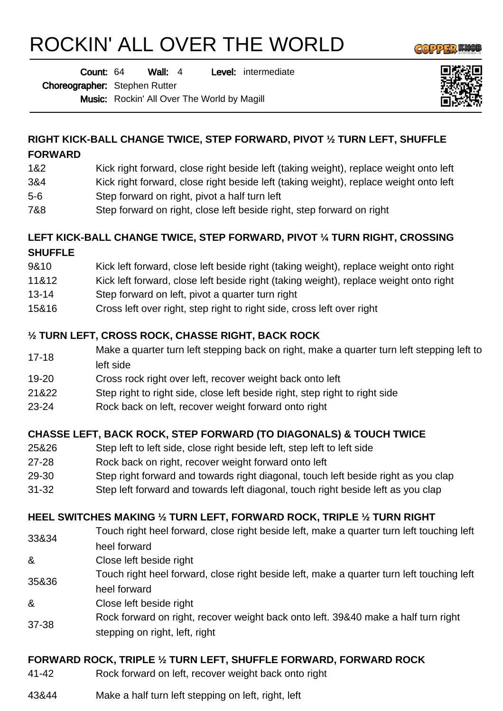# ROCKIN' ALL OVER THE WORLD

**GOPPER WA** 

Wall: 4 Level: intermediate Count: 64

Choreographer: Stephen Rutter

Music: Rockin' All Over The World by Magill



# **RIGHT KICK-BALL CHANGE TWICE, STEP FORWARD, PIVOT ½ TURN LEFT, SHUFFLE**

#### **FORWARD**

- 1&2 Kick right forward, close right beside left (taking weight), replace weight onto left
- 3&4 Kick right forward, close right beside left (taking weight), replace weight onto left
- 5-6 Step forward on right, pivot a half turn left
- 7&8 Step forward on right, close left beside right, step forward on right

#### **LEFT KICK-BALL CHANGE TWICE, STEP FORWARD, PIVOT ¼ TURN RIGHT, CROSSING SHUFFLE**

- 9&10 Kick left forward, close left beside right (taking weight), replace weight onto right
- 11&12 Kick left forward, close left beside right (taking weight), replace weight onto right
- 13-14 Step forward on left, pivot a quarter turn right
- 15&16 Cross left over right, step right to right side, cross left over right

## **½ TURN LEFT, CROSS ROCK, CHASSE RIGHT, BACK ROCK**

- 17-18 Make a quarter turn left stepping back on right, make a quarter turn left stepping left to left side
- 19-20 Cross rock right over left, recover weight back onto left
- 21&22 Step right to right side, close left beside right, step right to right side
- 23-24 Rock back on left, recover weight forward onto right

#### **CHASSE LEFT, BACK ROCK, STEP FORWARD (TO DIAGONALS) & TOUCH TWICE**

- 25&26 Step left to left side, close right beside left, step left to left side
- 27-28 Rock back on right, recover weight forward onto left
- 29-30 Step right forward and towards right diagonal, touch left beside right as you clap
- 31-32 Step left forward and towards left diagonal, touch right beside left as you clap

#### **HEEL SWITCHES MAKING ½ TURN LEFT, FORWARD ROCK, TRIPLE ½ TURN RIGHT**

- 33&34 Touch right heel forward, close right beside left, make a quarter turn left touching left heel forward
- & Close left beside right
- 35&36 Touch right heel forward, close right beside left, make a quarter turn left touching left heel forward
- & Close left beside right
- 37-38 Rock forward on right, recover weight back onto left. 39&40 make a half turn right stepping on right, left, right

# **FORWARD ROCK, TRIPLE ½ TURN LEFT, SHUFFLE FORWARD, FORWARD ROCK**

- 41-42 Rock forward on left, recover weight back onto right
- 43&44 Make a half turn left stepping on left, right, left